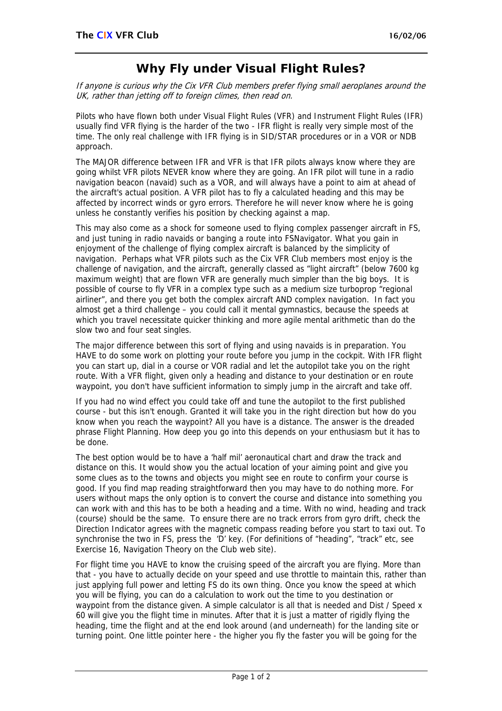## **Why Fly under Visual Flight Rules?**

If anyone is curious why the Cix VFR Club members prefer flying small aeroplanes around the UK, rather than jetting off to foreign climes, then read on.

Pilots who have flown both under Visual Flight Rules (VFR) and Instrument Flight Rules (IFR) usually find VFR flying is the harder of the two - IFR flight is really very simple most of the time. The only real challenge with IFR flying is in SID/STAR procedures or in a VOR or NDB approach.

The MAJOR difference between IFR and VFR is that IFR pilots always know where they are going whilst VFR pilots NEVER know where they are going. An IFR pilot will tune in a radio navigation beacon (navaid) such as a VOR, and will always have a point to aim at ahead of the aircraft's actual position. A VFR pilot has to fly a calculated heading and this may be affected by incorrect winds or gyro errors. Therefore he will never know where he is going unless he constantly verifies his position by checking against a map.

This may also come as a shock for someone used to flying complex passenger aircraft in FS, and just tuning in radio navaids or banging a route into FSNavigator. What you gain in enjoyment of the challenge of flying complex aircraft is balanced by the simplicity of navigation. Perhaps what VFR pilots such as the Cix VFR Club members most enjoy is the challenge of navigation, and the aircraft, generally classed as "light aircraft" (below 7600 kg maximum weight) that are flown VFR are generally much simpler than the big boys. It is possible of course to fly VFR in a complex type such as a medium size turboprop "regional airliner", and there you get both the complex aircraft AND complex navigation. In fact you almost get a third challenge – you could call it mental gymnastics, because the speeds at which you travel necessitate quicker thinking and more agile mental arithmetic than do the slow two and four seat singles.

The major difference between this sort of flying and using navaids is in preparation. You HAVE to do some work on plotting your route before you jump in the cockpit. With IFR flight you can start up, dial in a course or VOR radial and let the autopilot take you on the right route. With a VFR flight, given only a heading and distance to your destination or en route waypoint, you don't have sufficient information to simply jump in the aircraft and take off.

If you had no wind effect you could take off and tune the autopilot to the first published course - but this isn't enough. Granted it will take you in the right direction but how do you know when you reach the waypoint? All you have is a distance. The answer is the dreaded phrase Flight Planning. How deep you go into this depends on your enthusiasm but it has to be done.

The best option would be to have a 'half mil' aeronautical chart and draw the track and distance on this. It would show you the actual location of your aiming point and give you some clues as to the towns and objects you might see en route to confirm your course is good. If you find map reading straightforward then you may have to do nothing more. For users without maps the only option is to convert the course and distance into something you can work with and this has to be both a heading and a time. With no wind, heading and track (course) should be the same. To ensure there are no track errors from gyro drift, check the Direction Indicator agrees with the magnetic compass reading before you start to taxi out. To synchronise the two in FS, press the 'D' key. (For definitions of "heading", "track" etc, see Exercise 16, Navigation Theory on the Club web site).

For flight time you HAVE to know the cruising speed of the aircraft you are flying. More than that - you have to actually decide on your speed and use throttle to maintain this, rather than just applying full power and letting FS do its own thing. Once you know the speed at which you will be flying, you can do a calculation to work out the time to you destination or waypoint from the distance given. A simple calculator is all that is needed and Dist / Speed x 60 will give you the flight time in minutes. After that it is just a matter of rigidly flying the heading, time the flight and at the end look around (and underneath) for the landing site or turning point. One little pointer here - the higher you fly the faster you will be going for the